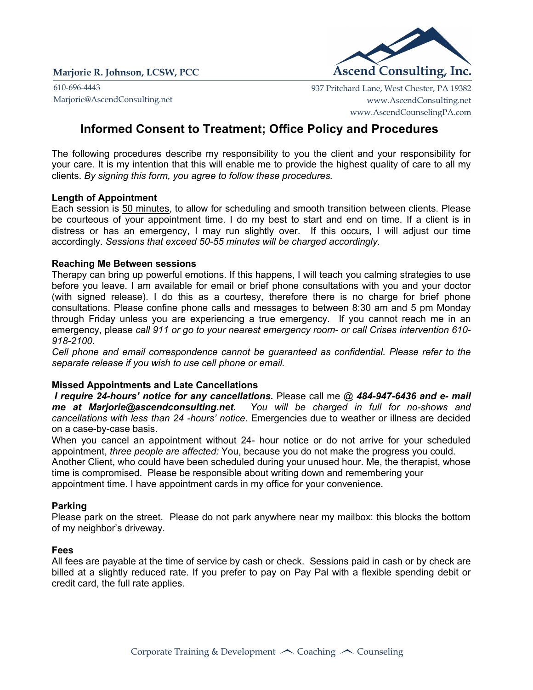

610-696-4443 937 Pritchard Lane, West Chester, PA 19382 Marjorie@AscendConsulting.net www.AscendConsulting.net www.AscendCounselingPA.com

# **Informed Consent to Treatment; Office Policy and Procedures**

The following procedures describe my responsibility to you the client and your responsibility for your care. It is my intention that this will enable me to provide the highest quality of care to all my clients. *By signing this form, you agree to follow these procedures.*

### **Length of Appointment**

Each session is 50 minutes, to allow for scheduling and smooth transition between clients. Please be courteous of your appointment time. I do my best to start and end on time. If a client is in distress or has an emergency, I may run slightly over. If this occurs, I will adjust our time accordingly. *Sessions that exceed 50-55 minutes will be charged accordingly.*

# **Reaching Me Between sessions**

Therapy can bring up powerful emotions. If this happens, I will teach you calming strategies to use before you leave. I am available for email or brief phone consultations with you and your doctor (with signed release). I do this as a courtesy, therefore there is no charge for brief phone consultations. Please confine phone calls and messages to between 8:30 am and 5 pm Monday through Friday unless you are experiencing a true emergency. If you cannot reach me in an emergency, please *call 911 or go to your nearest emergency room- or call Crises intervention 610- 918-2100.*

*Cell phone and email correspondence cannot be guaranteed as confidential. Please refer to the separate release if you wish to use cell phone or email.*

# **Missed Appointments and Late Cancellations**

*I require 24-hours' notice for any cancellations.* Please call me @ *484-947-6436 and e- mail me at Marjorie@ascendconsulting.net. You will be charged in full for no-shows and cancellations with less than 24 -hours' notice.* Emergencies due to weather or illness are decided on a case-by-case basis.

When you cancel an appointment without 24- hour notice or do not arrive for your scheduled appointment, *three people are affected:* You, because you do not make the progress you could.

Another Client, who could have been scheduled during your unused hour. Me, the therapist, whose time is compromised. Please be responsible about writing down and remembering your

appointment time. I have appointment cards in my office for your convenience.

# **Parking**

Please park on the street. Please do not park anywhere near my mailbox: this blocks the bottom of my neighbor's driveway.

### **Fees**

All fees are payable at the time of service by cash or check. Sessions paid in cash or by check are billed at a slightly reduced rate. If you prefer to pay on Pay Pal with a flexible spending debit or credit card, the full rate applies.